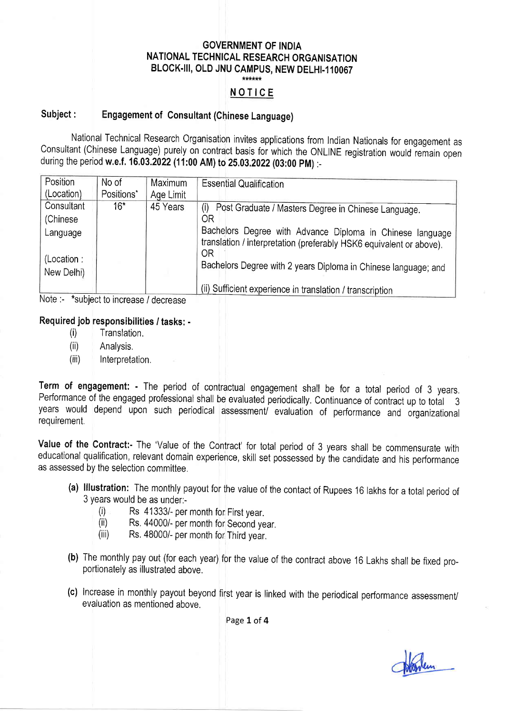# GOVERNMENT OF INDIA NATIONAL TECHNICAL RESEARCH ORGANISATION BLOCK-III, OLD JNU CAMPUS, NEW DELHI-110067

### NOTICE

# Subject : Engagement of Consultant (Chinese Language)

National Technical Research Organisation invites applications from Indian Nationals for engagement as Consultant (Chinese Language) purely on contract basis for which the ONLINE registration would remain open during the period w.e.f. 16.03.2022 (11:00 AM) to 25.03.2022 (03:00 PM) :-

| Position   | No of      | Maximum   | <b>Essential Qualification</b>                                                                                                   |
|------------|------------|-----------|----------------------------------------------------------------------------------------------------------------------------------|
| (Location) | Positions* | Age Limit |                                                                                                                                  |
| Consultant | $16*$      | 45 Years  | (i) Post Graduate / Masters Degree in Chinese Language.                                                                          |
| (Chinese)  |            |           | OR                                                                                                                               |
| Language   |            |           | Bachelors Degree with Advance Diploma in Chinese language<br>translation / interpretation (preferably HSK6 equivalent or above). |
| (Location: |            |           | 0R                                                                                                                               |
| New Delhi) |            |           | Bachelors Degree with 2 years Diploma in Chinese language; and                                                                   |
|            |            |           | (ii) Sufficient experience in translation / transcription                                                                        |

Note :- \*subject to increase / decrease

#### Required job responsibilities / tasks: -

- (i) Translation.
- (ii) Analysis,
- (iii) Interpretation.

Term of engagement: - The period of contractual engagement shall be for a total period of 3 years. Performance of the engaged professional shall be evaluated periodically, Continuance of contract up to total <sup>3</sup> years would depend upon such periodical assessment/ evaluation of performance and organizational requirement.

Value of the Contract:- The 'Value of the Contract' for total period of 3 years shall be commensurate with educational qualification, relevant domain experience, skill set possessed by the candidate and his performance as assessed by the selection committee,

- (a) lllustration: The monthly payout for the value of the contact of Rupees 16 lakhs for a total period of
	-
	- $3y<sup>2</sup>$  Rs 41333/- per month for First year,<br>(ii) Rs. 44000/- per month for Second year, (iii) Rs, 48000/- per month for Third year.
	-
- (b) The monthly pay out (for each year) for the value of the contract above 16 Lakhs shall be fixed proportionately as illustrated above.
- (c) Increase in monthly payout beyond first year is linked with the periodical performance assessment/ evaluation as mentioned above,

Page 1 of 4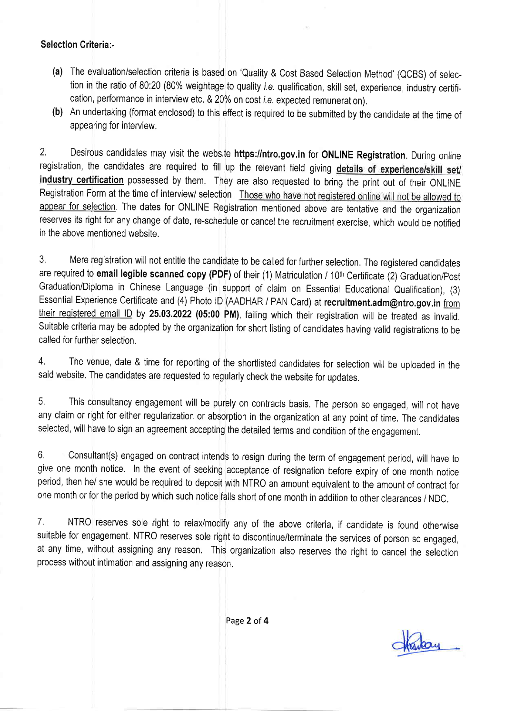### Selection Criteria:-

- (a) The evaluation/selection criteria is based on 'Quality & Cost Based Selection Method' (QCBS) of selection in the ratio of 80:20 (80% weightage to quality *i.e.* qualification, skill set, experience, industry certification, performance in interview etc. & 20% on cost *i.e.* expected remuneration),
- **(b)** An undertaking (format enclosed) to this effect is required to be submitted by the candidate at the time of appearing for interview,

2. Desirous candidates may visit the website https://ntro.gov.in for ONLINE Registration. During online registration, the candidates are required to fill up the relevant field giving details of experience/skill set/ industry certification possessed by them. They are also requested to bring the print out of their ONLINE Registration Form at the time of interview/ selection. Those who have not registered online will not be allowed to appear for selection. The dates for ONLINE Registration mentioned above are tentative and the organization reserves its right for any change of date, re-schedule or cancel the recruitment exercise, which would be notified in the above mentioned website,

3. Mere registration will not entitle the candidate to be called for further selection. The registered candidates are required to email legible scanned copy (PDF) of their (1) Matriculation / 10<sup>th</sup> Certificate (2) Graduation/Post Graduation/Diploma in Chinese Language (in support of claim on Essential Educational Qualification), (3) Essential Experience Certificate and (4) Photo ID (AADHAR / PAN Card) at recruitment.adm@ntro.gov.in from their registered email ID by 25.03.2022 (05:00 PM), failing which their registration will be treated as invalid. Suitable criteria may be adopted by the organization for short listing of candidates having valid registrations to be called for further selection.

4. The venue, date & time for reporting of the shortlisted candidates for selection will be uploaded in the said website. The candidates are requested to regularly check the website for updates,

5. This consultancy engagement will be purely on contracts basis. The person so engaged, will not have any claim or right for either regularization or absorption in the organization at any point of time, The candidates selected, will have to sign an agreement accepting the detailed terms and condition of the engagement.

6, Consultant(s) engaged on contract intends to resign during the term of engagement period, will have to give one month notice, In the event of seeking acceptance of resignation before expiry of one month notice period, then he/ she would be required to deposit with NTRO an amount equivalent to the amount of contract for one month or for the period by which such notice falls short of one month in addition to other clearances / NDC.

7. NTRO reserves sole right to relax/modify any of the above criteria, if candidate is found otherwise suitable for engagement, NTRO reserves sole right to discontinue/terminate the services of person so engaged, at any time, without assigning any reason, This organization also reserves the right to cancel the selection process without intimation and assigning any reason.

Page 2 of 4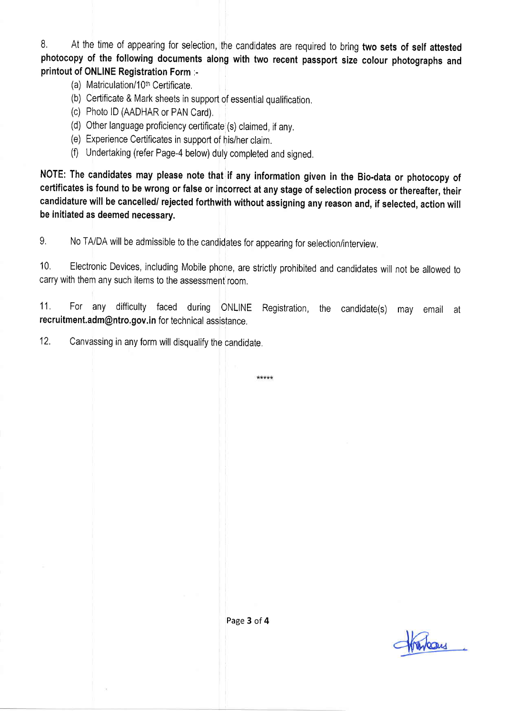8. At the time of appearing for selection, the candidates are required to bring two sets of self attested photocopy of the following documents along with two recent passport size colour photographs and printout of ONLINE Registration Form :-

- (a) Matriculation/10<sup>th</sup> Certificate.
- (b) certificate & Mark sheets in support of essential qualification,
- (c) Photo lD (AADHAR or PAN Card),
- (d) Other language proficiency cerlificate (s) claimed, if any.
- (e) Experience Certificates in support of his/her claim.
- (f) Undertaking (refer Page-4 below) duly completed and signed.

NOTE: The candidates may please note that if any information given in the Bio-data or photocopy of certificates is found to be wrong or false or incorrect at any stage of selection process or thereafter, their candidature will be cancelled/ rejected forthwith without assigning any reason and, if selected, action will be initiated as deemed necessary,

9, No TA/DA will be admissible to the candidates for appearing for selection/interview.

10. Electronic Devices, including Mobile phone, are strictly prohibited and candidates will not be allowed to carry with them any such items to the assessment room,

11, For any difficulty faced during ONLINE Registration, the candidate(s) may email at recruitment,adm@ntro,gov.in for technical assistance,

\*\*\*\*\*

12. Canvassing in any form will disqualify the candidate.

Page 3 of 4